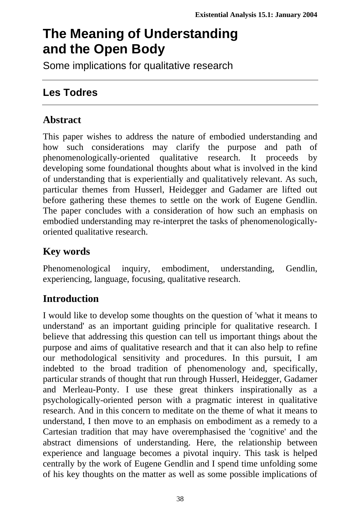# **The Meaning of Understanding and the Open Body**

Some implications for qualitative research

# **Les Todres**

### **Abstract**

This paper wishes to address the nature of embodied understanding and how such considerations may clarify the purpose and path of phenomenologically-oriented qualitative research. It proceeds by developing some foundational thoughts about what is involved in the kind of understanding that is experientially and qualitatively relevant. As such, particular themes from Husserl, Heidegger and Gadamer are lifted out before gathering these themes to settle on the work of Eugene Gendlin. The paper concludes with a consideration of how such an emphasis on embodied understanding may re-interpret the tasks of phenomenologicallyoriented qualitative research.

# **Key words**

Phenomenological inquiry, embodiment, understanding, Gendlin, experiencing, language, focusing, qualitative research.

# **Introduction**

I would like to develop some thoughts on the question of 'what it means to understand' as an important guiding principle for qualitative research. I believe that addressing this question can tell us important things about the purpose and aims of qualitative research and that it can also help to refine our methodological sensitivity and procedures. In this pursuit, I am indebted to the broad tradition of phenomenology and, specifically, particular strands of thought that run through Husserl, Heidegger, Gadamer and Merleau-Ponty. I use these great thinkers inspirationally as a psychologically-oriented person with a pragmatic interest in qualitative research. And in this concern to meditate on the theme of what it means to understand, I then move to an emphasis on embodiment as a remedy to a Cartesian tradition that may have overemphasised the 'cognitive' and the abstract dimensions of understanding. Here, the relationship between experience and language becomes a pivotal inquiry. This task is helped centrally by the work of Eugene Gendlin and I spend time unfolding some of his key thoughts on the matter as well as some possible implications of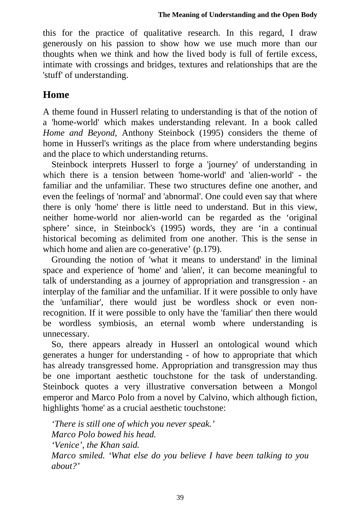this for the practice of qualitative research. In this regard, I draw generously on his passion to show how we use much more than our thoughts when we think and how the lived body is full of fertile excess, intimate with crossings and bridges, textures and relationships that are the 'stuff' of understanding.

### **Home**

A theme found in Husserl relating to understanding is that of the notion of a 'home-world' which makes understanding relevant. In a book called *Home and Beyond*, Anthony Steinbock (1995) considers the theme of home in Husserl's writings as the place from where understanding begins and the place to which understanding returns.

 Steinbock interprets Husserl to forge a 'journey' of understanding in which there is a tension between 'home-world' and 'alien-world' - the familiar and the unfamiliar. These two structures define one another, and even the feelings of 'normal' and 'abnormal'. One could even say that where there is only 'home' there is little need to understand. But in this view, neither home-world nor alien-world can be regarded as the 'original sphere' since, in Steinbock's (1995) words, they are 'in a continual historical becoming as delimited from one another. This is the sense in which home and alien are co-generative' (p.179).

 Grounding the notion of 'what it means to understand' in the liminal space and experience of 'home' and 'alien', it can become meaningful to talk of understanding as a journey of appropriation and transgression - an interplay of the familiar and the unfamiliar. If it were possible to only have the 'unfamiliar', there would just be wordless shock or even nonrecognition. If it were possible to only have the 'familiar' then there would be wordless symbiosis, an eternal womb where understanding is unnecessary.

 So, there appears already in Husserl an ontological wound which generates a hunger for understanding - of how to appropriate that which has already transgressed home. Appropriation and transgression may thus be one important aesthetic touchstone for the task of understanding. Steinbock quotes a very illustrative conversation between a Mongol emperor and Marco Polo from a novel by Calvino, which although fiction, highlights 'home' as a crucial aesthetic touchstone:

*'There is still one of which you never speak.' Marco Polo bowed his head. 'Venice', the Khan said. Marco smiled. 'What else do you believe I have been talking to you about?'*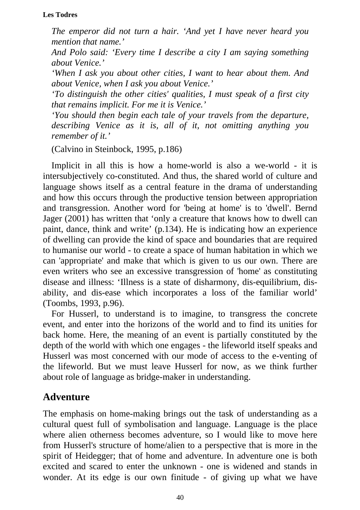*The emperor did not turn a hair. 'And yet I have never heard you mention that name.'* 

*And Polo said: 'Every time I describe a city I am saying something about Venice.'* 

*'When I ask you about other cities, I want to hear about them. And about Venice, when I ask you about Venice.'* 

*'To distinguish the other cities' qualities, I must speak of a first city that remains implicit. For me it is Venice.'* 

*'You should then begin each tale of your travels from the departure, describing Venice as it is, all of it, not omitting anything you remember of it.'* 

(Calvino in Steinbock, 1995, p.186)

 Implicit in all this is how a home-world is also a we-world - it is intersubjectively co-constituted. And thus, the shared world of culture and language shows itself as a central feature in the drama of understanding and how this occurs through the productive tension between appropriation and transgression. Another word for 'being at home' is to 'dwell'. Bernd Jager (2001) has written that 'only a creature that knows how to dwell can paint, dance, think and write' (p.134). He is indicating how an experience of dwelling can provide the kind of space and boundaries that are required to humanise our world - to create a space of human habitation in which we can 'appropriate' and make that which is given to us our own. There are even writers who see an excessive transgression of 'home' as constituting disease and illness: 'Illness is a state of disharmony, dis-equilibrium, disability, and dis-ease which incorporates a loss of the familiar world' (Toombs, 1993, p.96).

 For Husserl, to understand is to imagine, to transgress the concrete event, and enter into the horizons of the world and to find its unities for back home. Here, the meaning of an event is partially constituted by the depth of the world with which one engages - the lifeworld itself speaks and Husserl was most concerned with our mode of access to the e-venting of the lifeworld. But we must leave Husserl for now, as we think further about role of language as bridge-maker in understanding.

### **Adventure**

The emphasis on home-making brings out the task of understanding as a cultural quest full of symbolisation and language. Language is the place where alien otherness becomes adventure, so I would like to move here from Husserl's structure of home/alien to a perspective that is more in the spirit of Heidegger; that of home and adventure. In adventure one is both excited and scared to enter the unknown - one is widened and stands in wonder. At its edge is our own finitude - of giving up what we have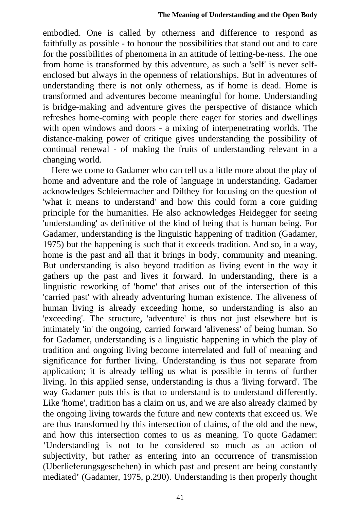embodied. One is called by otherness and difference to respond as faithfully as possible - to honour the possibilities that stand out and to care for the possibilities of phenomena in an attitude of letting-be-ness. The one from home is transformed by this adventure, as such a 'self' is never selfenclosed but always in the openness of relationships. But in adventures of understanding there is not only otherness, as if home is dead. Home is transformed and adventures become meaningful for home. Understanding is bridge-making and adventure gives the perspective of distance which refreshes home-coming with people there eager for stories and dwellings with open windows and doors - a mixing of interpenetrating worlds. The distance-making power of critique gives understanding the possibility of continual renewal - of making the fruits of understanding relevant in a changing world.

 Here we come to Gadamer who can tell us a little more about the play of home and adventure and the role of language in understanding. Gadamer acknowledges Schleiermacher and Dilthey for focusing on the question of 'what it means to understand' and how this could form a core guiding principle for the humanities. He also acknowledges Heidegger for seeing 'understanding' as definitive of the kind of being that is human being. For Gadamer, understanding is the linguistic happening of tradition (Gadamer, 1975) but the happening is such that it exceeds tradition. And so, in a way, home is the past and all that it brings in body, community and meaning. But understanding is also beyond tradition as living event in the way it gathers up the past and lives it forward. In understanding, there is a linguistic reworking of 'home' that arises out of the intersection of this 'carried past' with already adventuring human existence. The aliveness of human living is already exceeding home, so understanding is also an 'exceeding'. The structure, 'adventure' is thus not just elsewhere but is intimately 'in' the ongoing, carried forward 'aliveness' of being human. So for Gadamer, understanding is a linguistic happening in which the play of tradition and ongoing living become interrelated and full of meaning and significance for further living. Understanding is thus not separate from application; it is already telling us what is possible in terms of further living. In this applied sense, understanding is thus a 'living forward'. The way Gadamer puts this is that to understand is to understand differently. Like 'home', tradition has a claim on us, and we are also already claimed by the ongoing living towards the future and new contexts that exceed us. We are thus transformed by this intersection of claims, of the old and the new, and how this intersection comes to us as meaning. To quote Gadamer: 'Understanding is not to be considered so much as an action of subjectivity, but rather as entering into an occurrence of transmission (Uberlieferungsgeschehen) in which past and present are being constantly mediated' (Gadamer, 1975, p.290). Understanding is then properly thought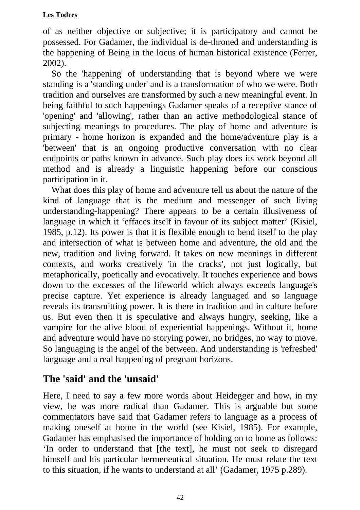of as neither objective or subjective; it is participatory and cannot be possessed. For Gadamer, the individual is de-throned and understanding is the happening of Being in the locus of human historical existence (Ferrer, 2002).

 So the 'happening' of understanding that is beyond where we were standing is a 'standing under' and is a transformation of who we were. Both tradition and ourselves are transformed by such a new meaningful event. In being faithful to such happenings Gadamer speaks of a receptive stance of 'opening' and 'allowing', rather than an active methodological stance of subjecting meanings to procedures. The play of home and adventure is primary - home horizon is expanded and the home/adventure play is a 'between' that is an ongoing productive conversation with no clear endpoints or paths known in advance. Such play does its work beyond all method and is already a linguistic happening before our conscious participation in it.

 What does this play of home and adventure tell us about the nature of the kind of language that is the medium and messenger of such living understanding-happening? There appears to be a certain illusiveness of language in which it 'effaces itself in favour of its subject matter' (Kisiel, 1985, p.12). Its power is that it is flexible enough to bend itself to the play and intersection of what is between home and adventure, the old and the new, tradition and living forward. It takes on new meanings in different contexts, and works creatively 'in the cracks', not just logically, but metaphorically, poetically and evocatively. It touches experience and bows down to the excesses of the lifeworld which always exceeds language's precise capture. Yet experience is already languaged and so language reveals its transmitting power. It is there in tradition and in culture before us. But even then it is speculative and always hungry, seeking, like a vampire for the alive blood of experiential happenings. Without it, home and adventure would have no storying power, no bridges, no way to move. So languaging is the angel of the between. And understanding is 'refreshed' language and a real happening of pregnant horizons.

### **The 'said' and the 'unsaid'**

Here, I need to say a few more words about Heidegger and how, in my view, he was more radical than Gadamer. This is arguable but some commentators have said that Gadamer refers to language as a process of making oneself at home in the world (see Kisiel, 1985). For example, Gadamer has emphasised the importance of holding on to home as follows: 'In order to understand that [the text], he must not seek to disregard himself and his particular hermeneutical situation. He must relate the text to this situation, if he wants to understand at all' (Gadamer, 1975 p.289).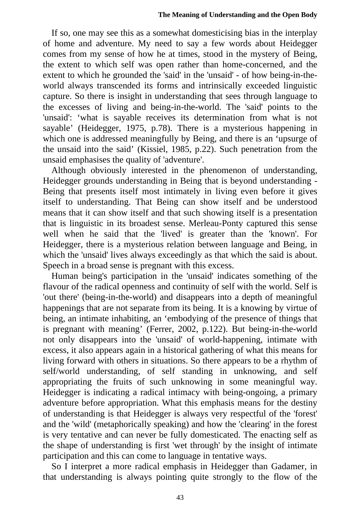If so, one may see this as a somewhat domesticising bias in the interplay of home and adventure. My need to say a few words about Heidegger comes from my sense of how he at times, stood in the mystery of Being, the extent to which self was open rather than home-concerned, and the extent to which he grounded the 'said' in the 'unsaid' - of how being-in-theworld always transcended its forms and intrinsically exceeded linguistic capture. So there is insight in understanding that sees through language to the excesses of living and being-in-the-world. The 'said' points to the 'unsaid': 'what is sayable receives its determination from what is not sayable' (Heidegger, 1975, p.78). There is a mysterious happening in which one is addressed meaningfully by Being, and there is an 'upsurge of the unsaid into the said' (Kissiel, 1985, p.22). Such penetration from the unsaid emphasises the quality of 'adventure'.

 Although obviously interested in the phenomenon of understanding, Heidegger grounds understanding in Being that is beyond understanding - Being that presents itself most intimately in living even before it gives itself to understanding. That Being can show itself and be understood means that it can show itself and that such showing itself is a presentation that is linguistic in its broadest sense. Merleau-Ponty captured this sense well when he said that the 'lived' is greater than the 'known'. For Heidegger, there is a mysterious relation between language and Being, in which the 'unsaid' lives always exceedingly as that which the said is about. Speech in a broad sense is pregnant with this excess.

 Human being's participation in the 'unsaid' indicates something of the flavour of the radical openness and continuity of self with the world. Self is 'out there' (being-in-the-world) and disappears into a depth of meaningful happenings that are not separate from its being. It is a knowing by virtue of being, an intimate inhabiting, an 'embodying of the presence of things that is pregnant with meaning' (Ferrer, 2002, p.122). But being-in-the-world not only disappears into the 'unsaid' of world-happening, intimate with excess, it also appears again in a historical gathering of what this means for living forward with others in situations. So there appears to be a rhythm of self/world understanding, of self standing in unknowing, and self appropriating the fruits of such unknowing in some meaningful way. Heidegger is indicating a radical intimacy with being-ongoing, a primary adventure before appropriation. What this emphasis means for the destiny of understanding is that Heidegger is always very respectful of the 'forest' and the 'wild' (metaphorically speaking) and how the 'clearing' in the forest is very tentative and can never be fully domesticated. The enacting self as the shape of understanding is first 'wet through' by the insight of intimate participation and this can come to language in tentative ways.

 So I interpret a more radical emphasis in Heidegger than Gadamer, in that understanding is always pointing quite strongly to the flow of the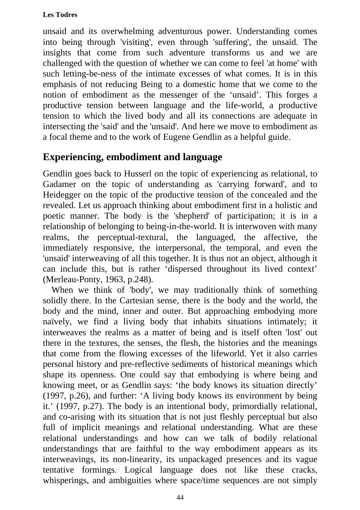unsaid and its overwhelming adventurous power. Understanding comes into being through 'visiting', even through 'suffering', the unsaid. The insights that come from such adventure transforms us and we are challenged with the question of whether we can come to feel 'at home' with such letting-be-ness of the intimate excesses of what comes. It is in this emphasis of not reducing Being to a domestic home that we come to the notion of embodiment as the messenger of the 'unsaid'. This forges a productive tension between language and the life-world, a productive tension to which the lived body and all its connections are adequate in intersecting the 'said' and the 'unsaid'. And here we move to embodiment as a focal theme and to the work of Eugene Gendlin as a helpful guide.

### **Experiencing, embodiment and language**

Gendlin goes back to Husserl on the topic of experiencing as relational, to Gadamer on the topic of understanding as 'carrying forward', and to Heidegger on the topic of the productive tension of the concealed and the revealed. Let us approach thinking about embodiment first in a holistic and poetic manner. The body is the 'shepherd' of participation; it is in a relationship of belonging to being-in-the-world. It is interwoven with many realms, the perceptual-textural, the languaged, the affective, the immediately responsive, the interpersonal, the temporal, and even the 'unsaid' interweaving of all this together. It is thus not an object, although it can include this, but is rather 'dispersed throughout its lived context' (Merleau-Ponty, 1963, p.248).

 When we think of 'body', we may traditionally think of something solidly there. In the Cartesian sense, there is the body and the world, the body and the mind, inner and outer. But approaching embodying more naïvely, we find a living body that inhabits situations intimately; it interweaves the realms as a matter of being and is itself often 'lost' out there in the textures, the senses, the flesh, the histories and the meanings that come from the flowing excesses of the lifeworld. Yet it also carries personal history and pre-reflective sediments of historical meanings which shape its openness. One could say that embodying is where being and knowing meet, or as Gendlin says: 'the body knows its situation directly' (1997, p.26), and further: 'A living body knows its environment by being it.' (1997, p.27). The body is an intentional body, primordially relational, and co-arising with its situation that is not just fleshly perceptual but also full of implicit meanings and relational understanding. What are these relational understandings and how can we talk of bodily relational understandings that are faithful to the way embodiment appears as its interweavings, its non-linearity, its unpackaged presences and its vague tentative formings. Logical language does not like these cracks, whisperings, and ambiguities where space/time sequences are not simply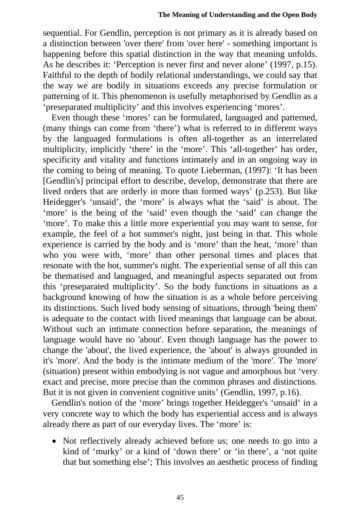sequential. For Gendlin, perception is not primary as it is already based on a distinction between 'over there' from 'over here' - something important is happening before this spatial distinction in the way that meaning unfolds. As he describes it: 'Perception is never first and never alone' (1997, p.15). Faithful to the depth of bodily relational understandings, we could say that the way we are bodily in situations exceeds any precise formulation or patterning of it. This phenomenon is usefully metaphorised by Gendlin as a 'preseparated multiplicity' and this involves experiencing 'mores'.

 Even though these 'mores' can be formulated, languaged and patterned, (many things can come from 'there') what is referred to in different ways by the languaged formulations is often all-together as an interrelated multiplicity, implicitly 'there' in the 'more'. This 'all-together' has order, specificity and vitality and functions intimately and in an ongoing way in the coming to being of meaning. To quote Lieberman, (1997): 'It has been [Gendlin's] principal effort to describe, develop, demonstrate that there are lived orders that are orderly in more than formed ways' (p.253). But like Heidegger's 'unsaid', the 'more' is always what the 'said' is about. The 'more' is the being of the 'said' even though the 'said' can change the 'more'. To make this a little more experiential you may want to sense, for example, the feel of a hot summer's night, just being in that. This whole experience is carried by the body and is 'more' than the heat, 'more' than who you were with, 'more' than other personal times and places that resonate with the hot, summer's night. The experiential sense of all this can be thematised and languaged, and meaningful aspects separated out from this 'preseparated multiplicity'. So the body functions in situations as a background knowing of how the situation is as a whole before perceiving its distinctions. Such lived body sensing of situations, through 'being them' is adequate to the contact with lived meanings that language can be about. Without such an intimate connection before separation, the meanings of language would have no 'about'. Even though language has the power to change the 'about', the lived experience, the 'about' is always grounded in it's 'more'. And the body is the intimate medium of the 'more'. The 'more' (situation) present within embodying is not vague and amorphous but 'very exact and precise, more precise than the common phrases and distinctions. But it is not given in convenient cognitive units' (Gendlin, 1997, p.16).

 Gendlin's notion of the 'more' brings together Heidegger's 'unsaid' in a very concrete way to which the body has experiential access and is always already there as part of our everyday lives. The 'more' is:

• Not reflectively already achieved before us; one needs to go into a kind of 'murky' or a kind of 'down there' or 'in there', a 'not quite that but something else'; This involves an aesthetic process of finding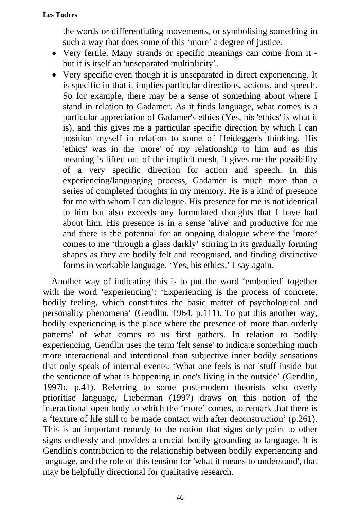the words or differentiating movements, or symbolising something in such a way that does some of this 'more' a degree of justice.

- Very fertile. Many strands or specific meanings can come from it but it is itself an 'unseparated multiplicity'.
- Very specific even though it is unseparated in direct experiencing. It is specific in that it implies particular directions, actions, and speech. So for example, there may be a sense of something about where I stand in relation to Gadamer. As it finds language, what comes is a particular appreciation of Gadamer's ethics (Yes, his 'ethics' is what it is), and this gives me a particular specific direction by which I can position myself in relation to some of Heidegger's thinking. His 'ethics' was in the 'more' of my relationship to him and as this meaning is lifted out of the implicit mesh, it gives me the possibility of a very specific direction for action and speech. In this experiencing/languaging process, Gadamer is much more than a series of completed thoughts in my memory. He is a kind of presence for me with whom I can dialogue. His presence for me is not identical to him but also exceeds any formulated thoughts that I have had about him. His presence is in a sense 'alive' and productive for me and there is the potential for an ongoing dialogue where the 'more' comes to me 'through a glass darkly' stirring in its gradually forming shapes as they are bodily felt and recognised, and finding distinctive forms in workable language. 'Yes, his ethics,' I say again.

 Another way of indicating this is to put the word 'embodied' together with the word 'experiencing': 'Experiencing is the process of concrete, bodily feeling, which constitutes the basic matter of psychological and personality phenomena' (Gendlin, 1964, p.111). To put this another way, bodily experiencing is the place where the presence of 'more than orderly patterns' of what comes to us first gathers. In relation to bodily experiencing, Gendlin uses the term 'felt sense' to indicate something much more interactional and intentional than subjective inner bodily sensations that only speak of internal events: 'What one feels is not 'stuff inside' but the sentience of what is happening in one's living in the outside' (Gendlin, 1997b, p.41). Referring to some post-modern theorists who overly prioritise language, Lieberman (1997) draws on this notion of the interactional open body to which the 'more' comes, to remark that there is a 'texture of life still to be made contact with after deconstruction' (p.261). This is an important remedy to the notion that signs only point to other signs endlessly and provides a crucial bodily grounding to language. It is Gendlin's contribution to the relationship between bodily experiencing and language, and the role of this tension for 'what it means to understand', that may be helpfully directional for qualitative research.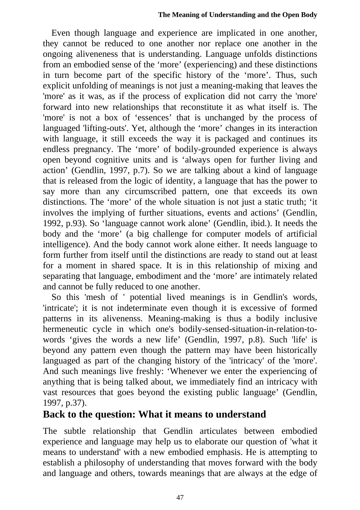#### **The Meaning of Understanding and the Open Body**

 Even though language and experience are implicated in one another, they cannot be reduced to one another nor replace one another in the ongoing aliveneness that is understanding. Language unfolds distinctions from an embodied sense of the 'more' (experiencing) and these distinctions in turn become part of the specific history of the 'more'. Thus, such explicit unfolding of meanings is not just a meaning-making that leaves the 'more' as it was, as if the process of explication did not carry the 'more' forward into new relationships that reconstitute it as what itself is. The 'more' is not a box of 'essences' that is unchanged by the process of languaged 'lifting-outs'. Yet, although the 'more' changes in its interaction with language, it still exceeds the way it is packaged and continues its endless pregnancy. The 'more' of bodily-grounded experience is always open beyond cognitive units and is 'always open for further living and action' (Gendlin, 1997, p.7). So we are talking about a kind of language that is released from the logic of identity, a language that has the power to say more than any circumscribed pattern, one that exceeds its own distinctions. The 'more' of the whole situation is not just a static truth; 'it involves the implying of further situations, events and actions' (Gendlin, 1992, p.93). So 'language cannot work alone' (Gendlin, ibid.). It needs the body and the 'more' (a big challenge for computer models of artificial intelligence). And the body cannot work alone either. It needs language to form further from itself until the distinctions are ready to stand out at least for a moment in shared space. It is in this relationship of mixing and separating that language, embodiment and the 'more' are intimately related and cannot be fully reduced to one another.

 So this 'mesh of ' potential lived meanings is in Gendlin's words, 'intricate'; it is not indeterminate even though it is excessive of formed patterns in its alivenenss. Meaning-making is thus a bodily inclusive hermeneutic cycle in which one's bodily-sensed-situation-in-relation-towords 'gives the words a new life' (Gendlin, 1997, p.8). Such 'life' is beyond any pattern even though the pattern may have been historically languaged as part of the changing history of the 'intricacy' of the 'more'. And such meanings live freshly: 'Whenever we enter the experiencing of anything that is being talked about, we immediately find an intricacy with vast resources that goes beyond the existing public language' (Gendlin, 1997, p.37).

### **Back to the question: What it means to understand**

The subtle relationship that Gendlin articulates between embodied experience and language may help us to elaborate our question of 'what it means to understand' with a new embodied emphasis. He is attempting to establish a philosophy of understanding that moves forward with the body and language and others, towards meanings that are always at the edge of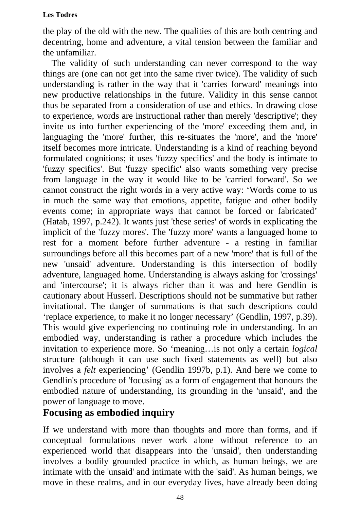the play of the old with the new. The qualities of this are both centring and decentring, home and adventure, a vital tension between the familiar and the unfamiliar.

 The validity of such understanding can never correspond to the way things are (one can not get into the same river twice). The validity of such understanding is rather in the way that it 'carries forward' meanings into new productive relationships in the future. Validity in this sense cannot thus be separated from a consideration of use and ethics. In drawing close to experience, words are instructional rather than merely 'descriptive'; they invite us into further experiencing of the 'more' exceeding them and, in languaging the 'more' further, this re-situates the 'more', and the 'more' itself becomes more intricate. Understanding is a kind of reaching beyond formulated cognitions; it uses 'fuzzy specifics' and the body is intimate to 'fuzzy specifics'. But 'fuzzy specific' also wants something very precise from language in the way it would like to be 'carried forward'. So we cannot construct the right words in a very active way: 'Words come to us in much the same way that emotions, appetite, fatigue and other bodily events come; in appropriate ways that cannot be forced or fabricated' (Hatab, 1997, p.242). It wants just 'these series' of words in explicating the implicit of the 'fuzzy mores'. The 'fuzzy more' wants a languaged home to rest for a moment before further adventure - a resting in familiar surroundings before all this becomes part of a new 'more' that is full of the new 'unsaid' adventure. Understanding is this intersection of bodily adventure, languaged home. Understanding is always asking for 'crossings' and 'intercourse'; it is always richer than it was and here Gendlin is cautionary about Husserl. Descriptions should not be summative but rather invitational. The danger of summations is that such descriptions could 'replace experience, to make it no longer necessary' (Gendlin, 1997, p.39). This would give experiencing no continuing role in understanding. In an embodied way, understanding is rather a procedure which includes the invitation to experience more. So 'meaning…is not only a certain *logical*  structure (although it can use such fixed statements as well) but also involves a *felt* experiencing' (Gendlin 1997b, p.1). And here we come to Gendlin's procedure of 'focusing' as a form of engagement that honours the embodied nature of understanding, its grounding in the 'unsaid', and the power of language to move.

### **Focusing as embodied inquiry**

If we understand with more than thoughts and more than forms, and if conceptual formulations never work alone without reference to an experienced world that disappears into the 'unsaid', then understanding involves a bodily grounded practice in which, as human beings, we are intimate with the 'unsaid' and intimate with the 'said'. As human beings, we move in these realms, and in our everyday lives, have already been doing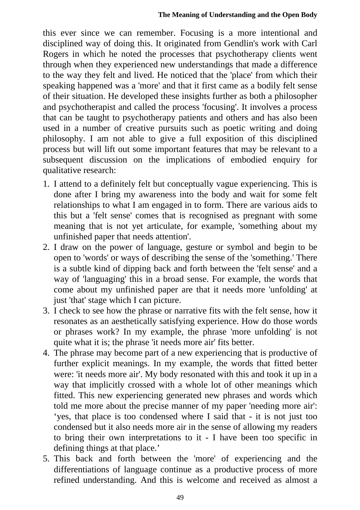this ever since we can remember. Focusing is a more intentional and disciplined way of doing this. It originated from Gendlin's work with Carl Rogers in which he noted the processes that psychotherapy clients went through when they experienced new understandings that made a difference to the way they felt and lived. He noticed that the 'place' from which their speaking happened was a 'more' and that it first came as a bodily felt sense of their situation. He developed these insights further as both a philosopher and psychotherapist and called the process 'focusing'. It involves a process that can be taught to psychotherapy patients and others and has also been used in a number of creative pursuits such as poetic writing and doing philosophy. I am not able to give a full exposition of this disciplined process but will lift out some important features that may be relevant to a subsequent discussion on the implications of embodied enquiry for qualitative research:

- 1. I attend to a definitely felt but conceptually vague experiencing. This is done after I bring my awareness into the body and wait for some felt relationships to what I am engaged in to form. There are various aids to this but a 'felt sense' comes that is recognised as pregnant with some meaning that is not yet articulate, for example, 'something about my unfinished paper that needs attention'.
- 2. I draw on the power of language, gesture or symbol and begin to be open to 'words' or ways of describing the sense of the 'something.' There is a subtle kind of dipping back and forth between the 'felt sense' and a way of 'languaging' this in a broad sense. For example, the words that come about my unfinished paper are that it needs more 'unfolding' at just 'that' stage which I can picture.
- 3. I check to see how the phrase or narrative fits with the felt sense, how it resonates as an aesthetically satisfying experience. How do those words or phrases work? In my example, the phrase 'more unfolding' is not quite what it is; the phrase 'it needs more air' fits better.
- 4. The phrase may become part of a new experiencing that is productive of further explicit meanings. In my example, the words that fitted better were: 'it needs more air'. My body resonated with this and took it up in a way that implicitly crossed with a whole lot of other meanings which fitted. This new experiencing generated new phrases and words which told me more about the precise manner of my paper 'needing more air': 'yes, that place is too condensed where I said that - it is not just too condensed but it also needs more air in the sense of allowing my readers to bring their own interpretations to it - I have been too specific in defining things at that place.'
- 5. This back and forth between the 'more' of experiencing and the differentiations of language continue as a productive process of more refined understanding. And this is welcome and received as almost a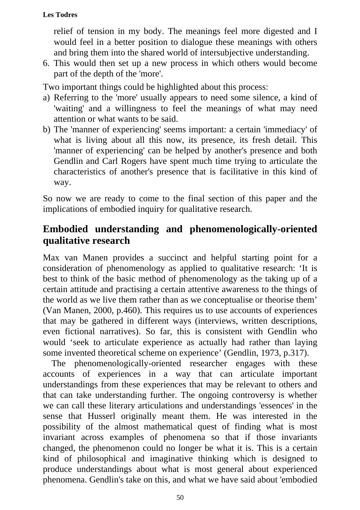relief of tension in my body. The meanings feel more digested and I would feel in a better position to dialogue these meanings with others and bring them into the shared world of intersubjective understanding.

6. This would then set up a new process in which others would become part of the depth of the 'more'.

Two important things could be highlighted about this process:

- a) Referring to the 'more' usually appears to need some silence, a kind of 'waiting' and a willingness to feel the meanings of what may need attention or what wants to be said.
- b) The 'manner of experiencing' seems important: a certain 'immediacy' of what is living about all this now, its presence, its fresh detail. This 'manner of experiencing' can be helped by another's presence and both Gendlin and Carl Rogers have spent much time trying to articulate the characteristics of another's presence that is facilitative in this kind of way.

So now we are ready to come to the final section of this paper and the implications of embodied inquiry for qualitative research.

### **Embodied understanding and phenomenologically-oriented qualitative research**

Max van Manen provides a succinct and helpful starting point for a consideration of phenomenology as applied to qualitative research: 'It is best to think of the basic method of phenomenology as the taking up of a certain attitude and practising a certain attentive awareness to the things of the world as we live them rather than as we conceptualise or theorise them' (Van Manen, 2000, p.460). This requires us to use accounts of experiences that may be gathered in different ways (interviews, written descriptions, even fictional narratives). So far, this is consistent with Gendlin who would 'seek to articulate experience as actually had rather than laying some invented theoretical scheme on experience' (Gendlin, 1973, p.317).

 The phenomenologically-oriented researcher engages with these accounts of experiences in a way that can articulate important understandings from these experiences that may be relevant to others and that can take understanding further. The ongoing controversy is whether we can call these literary articulations and understandings 'essences' in the sense that Husserl originally meant them. He was interested in the possibility of the almost mathematical quest of finding what is most invariant across examples of phenomena so that if those invariants changed, the phenomenon could no longer be what it is. This is a certain kind of philosophical and imaginative thinking which is designed to produce understandings about what is most general about experienced phenomena. Gendlin's take on this, and what we have said about 'embodied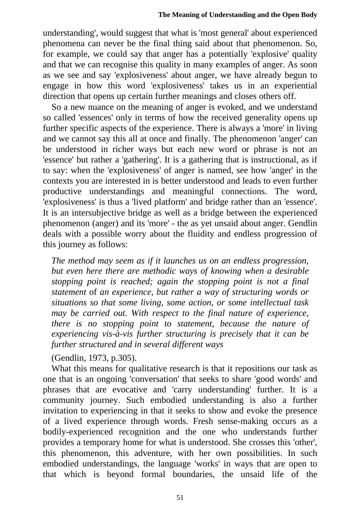understanding', would suggest that what is 'most general' about experienced phenomena can never be the final thing said about that phenomenon. So, for example, we could say that anger has a potentially 'explosive' quality and that we can recognise this quality in many examples of anger. As soon as we see and say 'explosiveness' about anger, we have already begun to engage in how this word 'explosiveness' takes us in an experiential direction that opens up certain further meanings and closes others off.

 So a new nuance on the meaning of anger is evoked, and we understand so called 'essences' only in terms of how the received generality opens up further specific aspects of the experience. There is always a 'more' in living and we cannot say this all at once and finally. The phenomenon 'anger' can be understood in richer ways but each new word or phrase is not an 'essence' but rather a 'gathering'. It is a gathering that is instructional, as if to say: when the 'explosiveness' of anger is named, see how 'anger' in the contexts you are interested in is better understood and leads to even further productive understandings and meaningful connections. The word, 'explosiveness' is thus a 'lived platform' and bridge rather than an 'essence'. It is an intersubjective bridge as well as a bridge between the experienced phenomenon (anger) and its 'more' - the as yet unsaid about anger. Gendlin deals with a possible worry about the fluidity and endless progression of this journey as follows:

*The method may seem as if it launches us on an endless progression, but even here there are methodic ways of knowing when a desirable stopping point is reached; again the stopping point is not a final statement* of *an experience, but rather a way of structuring words or situations so that some living, some action, or some intellectual task may be carried out. With respect to the final nature of experience, there is no stopping point to statement, because the nature of experiencing vis-à-vis further structuring is precisely that it can be further structured and in several different ways* 

(Gendlin, 1973, p.305).

 What this means for qualitative research is that it repositions our task as one that is an ongoing 'conversation' that seeks to share 'good words' and phrases that are evocative and 'carry understanding' further. It is a community journey. Such embodied understanding is also a further invitation to experiencing in that it seeks to show and evoke the presence of a lived experience through words. Fresh sense-making occurs as a bodily-experienced recognition and the one who understands further provides a temporary home for what is understood. She crosses this 'other', this phenomenon, this adventure, with her own possibilities. In such embodied understandings, the language 'works' in ways that are open to that which is beyond formal boundaries, the unsaid life of the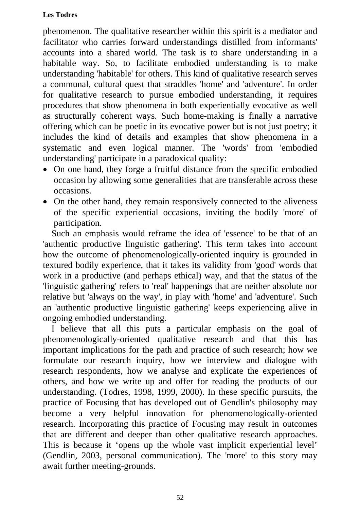phenomenon. The qualitative researcher within this spirit is a mediator and facilitator who carries forward understandings distilled from informants' accounts into a shared world. The task is to share understanding in a habitable way. So, to facilitate embodied understanding is to make understanding 'habitable' for others. This kind of qualitative research serves a communal, cultural quest that straddles 'home' and 'adventure'. In order for qualitative research to pursue embodied understanding, it requires procedures that show phenomena in both experientially evocative as well as structurally coherent ways. Such home-making is finally a narrative offering which can be poetic in its evocative power but is not just poetry; it includes the kind of details and examples that show phenomena in a systematic and even logical manner. The 'words' from 'embodied understanding' participate in a paradoxical quality:

- On one hand, they forge a fruitful distance from the specific embodied occasion by allowing some generalities that are transferable across these occasions.
- On the other hand, they remain responsively connected to the aliveness of the specific experiential occasions, inviting the bodily 'more' of participation.

 Such an emphasis would reframe the idea of 'essence' to be that of an 'authentic productive linguistic gathering'. This term takes into account how the outcome of phenomenologically-oriented inquiry is grounded in textured bodily experience, that it takes its validity from 'good' words that work in a productive (and perhaps ethical) way, and that the status of the 'linguistic gathering' refers to 'real' happenings that are neither absolute nor relative but 'always on the way', in play with 'home' and 'adventure'. Such an 'authentic productive linguistic gathering' keeps experiencing alive in ongoing embodied understanding.

 I believe that all this puts a particular emphasis on the goal of phenomenologically-oriented qualitative research and that this has important implications for the path and practice of such research; how we formulate our research inquiry, how we interview and dialogue with research respondents, how we analyse and explicate the experiences of others, and how we write up and offer for reading the products of our understanding. (Todres, 1998, 1999, 2000). In these specific pursuits, the practice of Focusing that has developed out of Gendlin's philosophy may become a very helpful innovation for phenomenologically-oriented research. Incorporating this practice of Focusing may result in outcomes that are different and deeper than other qualitative research approaches. This is because it 'opens up the whole vast implicit experiential level' (Gendlin, 2003, personal communication). The 'more' to this story may await further meeting-grounds.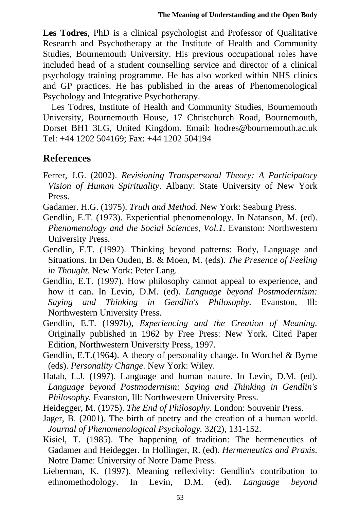**Les Todres**, PhD is a clinical psychologist and Professor of Qualitative Research and Psychotherapy at the Institute of Health and Community Studies, Bournemouth University. His previous occupational roles have included head of a student counselling service and director of a clinical psychology training programme. He has also worked within NHS clinics and GP practices. He has published in the areas of Phenomenological Psychology and Integrative Psychotherapy.

Les Todres, Institute of Health and Community Studies, Bournemouth University, Bournemouth House, 17 Christchurch Road, Bournemouth, Dorset BH1 3LG, United Kingdom. Email: ltodres@bournemouth.ac.uk Tel: +44 1202 504169; Fax: +44 1202 504194

### **References**

- Ferrer, J.G. (2002). *Revisioning Transpersonal Theory: A Participatory Vision of Human Spirituality*. Albany: State University of New York Press.
- Gadamer. H.G. (1975). *Truth and Method*. New York: Seaburg Press.
- Gendlin, E.T. (1973). Experiential phenomenology. In Natanson, M. (ed). *Phenomenology and the Social Sciences, Vol.1*. Evanston: Northwestern University Press.
- Gendlin, E.T. (1992). Thinking beyond patterns: Body, Language and Situations. In Den Ouden, B. & Moen, M. (eds). *The Presence of Feeling in Thought*. New York: Peter Lang.
- Gendlin, E.T. (1997). How philosophy cannot appeal to experience, and how it can. In Levin, D.M. (ed). *Language beyond Postmodernism: Saying and Thinking in Gendlin's Philosophy.* Evanston, Ill: Northwestern University Press.
- Gendlin, E.T. (1997b), *Experiencing and the Creation of Meaning.* Originally published in 1962 by Free Press: New York. Cited Paper Edition, Northwestern University Press, 1997.
- Gendlin, E.T.(1964). A theory of personality change. In Worchel & Byrne (eds). *Personality Change*. New York: Wiley.
- Hatab, L.J. (1997). Language and human nature. In Levin, D.M. (ed). *Language beyond Postmodernism: Saying and Thinking in Gendlin's Philosophy.* Evanston, Ill: Northwestern University Press.
- Heidegger, M. (1975). *The End of Philosophy.* London: Souvenir Press.
- Jager, B. (2001). The birth of poetry and the creation of a human world. *Journal of Phenomenological Psychology.* 32(2), 131-152.
- Kisiel, T. (1985). The happening of tradition: The hermeneutics of Gadamer and Heidegger. In Hollinger, R. (ed). *Hermeneutics and Praxis*. Notre Dame: University of Notre Dame Press.
- Lieberman, K. (1997). Meaning reflexivity: Gendlin's contribution to ethnomethodology. In Levin, D.M. (ed). *Language beyond*